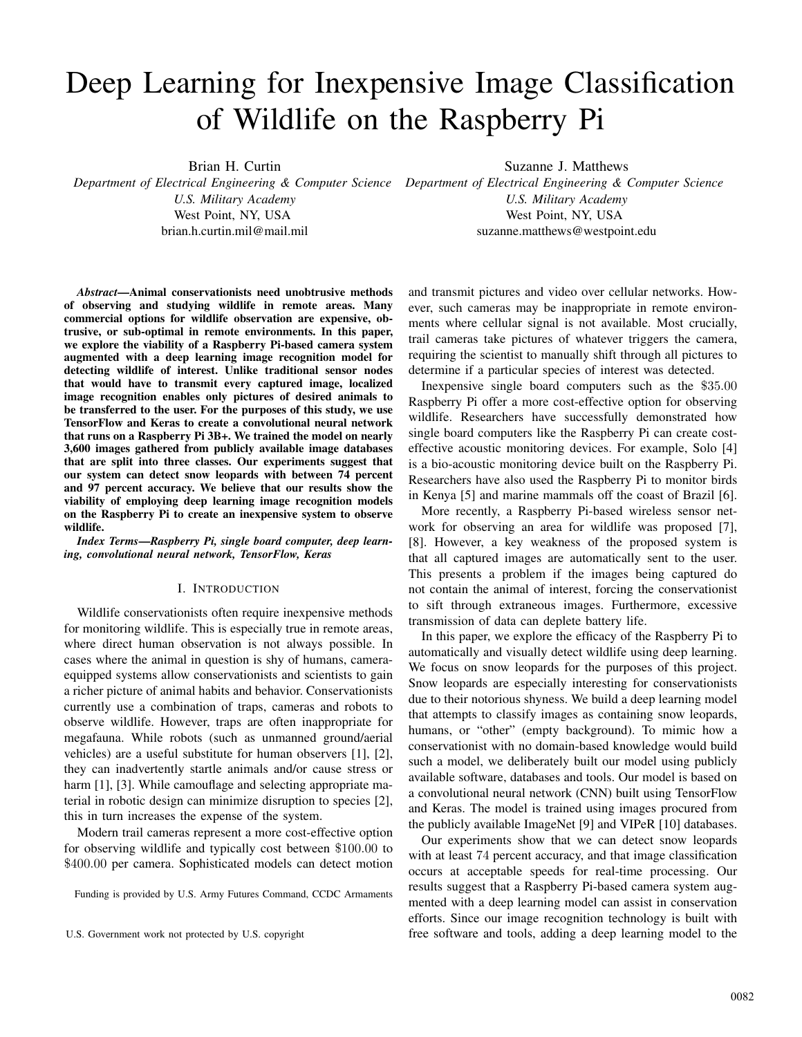# Deep Learning for Inexpensive Image Classification of Wildlife on the Raspberry Pi

Brian H. Curtin

*U.S. Military Academy* West Point, NY, USA brian.h.curtin.mil@mail.mil Suzanne J. Matthews

*Department of Electrical Engineering & Computer Science Department of Electrical Engineering & Computer Science U.S. Military Academy* West Point, NY, USA suzanne.matthews@westpoint.edu

*Abstract*—Animal conservationists need unobtrusive methods of observing and studying wildlife in remote areas. Many commercial options for wildlife observation are expensive, obtrusive, or sub-optimal in remote environments. In this paper, we explore the viability of a Raspberry Pi-based camera system augmented with a deep learning image recognition model for detecting wildlife of interest. Unlike traditional sensor nodes that would have to transmit every captured image, localized image recognition enables only pictures of desired animals to be transferred to the user. For the purposes of this study, we use TensorFlow and Keras to create a convolutional neural network that runs on a Raspberry Pi 3B+. We trained the model on nearly 3,600 images gathered from publicly available image databases that are split into three classes. Our experiments suggest that our system can detect snow leopards with between 74 percent and 97 percent accuracy. We believe that our results show the viability of employing deep learning image recognition models on the Raspberry Pi to create an inexpensive system to observe wildlife.

*Index Terms*—*Raspberry Pi, single board computer, deep learning, convolutional neural network, TensorFlow, Keras*

# I. INTRODUCTION

Wildlife conservationists often require inexpensive methods for monitoring wildlife. This is especially true in remote areas, where direct human observation is not always possible. In cases where the animal in question is shy of humans, cameraequipped systems allow conservationists and scientists to gain a richer picture of animal habits and behavior. Conservationists currently use a combination of traps, cameras and robots to observe wildlife. However, traps are often inappropriate for megafauna. While robots (such as unmanned ground/aerial vehicles) are a useful substitute for human observers [1], [2], they can inadvertently startle animals and/or cause stress or harm [1], [3]. While camouflage and selecting appropriate material in robotic design can minimize disruption to species [2], this in turn increases the expense of the system.

Modern trail cameras represent a more cost-effective option for observing wildlife and typically cost between \$100.<sup>00</sup> to \$400.<sup>00</sup> per camera. Sophisticated models can detect motion

Funding is provided by U.S. Army Futures Command, CCDC Armaments

and transmit pictures and video over cellular networks. However, such cameras may be inappropriate in remote environments where cellular signal is not available. Most crucially, trail cameras take pictures of whatever triggers the camera, requiring the scientist to manually shift through all pictures to determine if a particular species of interest was detected.

Inexpensive single board computers such as the \$35.<sup>00</sup> Raspberry Pi offer a more cost-effective option for observing wildlife. Researchers have successfully demonstrated how single board computers like the Raspberry Pi can create costeffective acoustic monitoring devices. For example, Solo [4] is a bio-acoustic monitoring device built on the Raspberry Pi. Researchers have also used the Raspberry Pi to monitor birds in Kenya [5] and marine mammals off the coast of Brazil [6].

More recently, a Raspberry Pi-based wireless sensor network for observing an area for wildlife was proposed [7], [8]. However, a key weakness of the proposed system is that all captured images are automatically sent to the user. This presents a problem if the images being captured do not contain the animal of interest, forcing the conservationist to sift through extraneous images. Furthermore, excessive transmission of data can deplete battery life.

In this paper, we explore the efficacy of the Raspberry Pi to automatically and visually detect wildlife using deep learning. We focus on snow leopards for the purposes of this project. Snow leopards are especially interesting for conservationists due to their notorious shyness. We build a deep learning model that attempts to classify images as containing snow leopards, humans, or "other" (empty background). To mimic how a conservationist with no domain-based knowledge would build such a model, we deliberately built our model using publicly available software, databases and tools. Our model is based on a convolutional neural network (CNN) built using TensorFlow and Keras. The model is trained using images procured from the publicly available ImageNet [9] and VIPeR [10] databases.

Our experiments show that we can detect snow leopards with at least 74 percent accuracy, and that image classification occurs at acceptable speeds for real-time processing. Our results suggest that a Raspberry Pi-based camera system augmented with a deep learning model can assist in conservation efforts. Since our image recognition technology is built with U.S. Government work not protected by U.S. copyright free software and tools, adding a deep learning model to the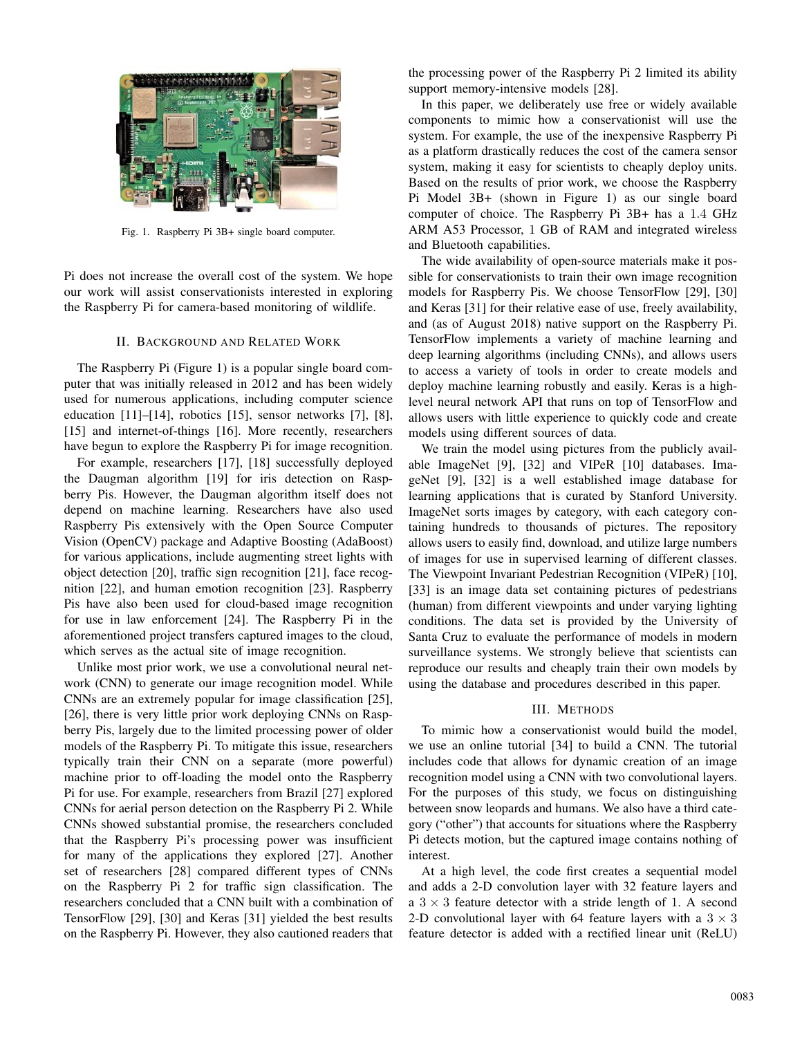

Fig. 1. Raspberry Pi 3B+ single board computer.

Pi does not increase the overall cost of the system. We hope our work will assist conservationists interested in exploring the Raspberry Pi for camera-based monitoring of wildlife.

#### II. BACKGROUND AND RELATED WORK

The Raspberry Pi (Figure 1) is a popular single board computer that was initially released in 2012 and has been widely used for numerous applications, including computer science education [11]–[14], robotics [15], sensor networks [7], [8], [15] and internet-of-things [16]. More recently, researchers have begun to explore the Raspberry Pi for image recognition.

For example, researchers [17], [18] successfully deployed the Daugman algorithm [19] for iris detection on Raspberry Pis. However, the Daugman algorithm itself does not depend on machine learning. Researchers have also used Raspberry Pis extensively with the Open Source Computer Vision (OpenCV) package and Adaptive Boosting (AdaBoost) for various applications, include augmenting street lights with object detection [20], traffic sign recognition [21], face recognition [22], and human emotion recognition [23]. Raspberry Pis have also been used for cloud-based image recognition for use in law enforcement [24]. The Raspberry Pi in the aforementioned project transfers captured images to the cloud, which serves as the actual site of image recognition.

Unlike most prior work, we use a convolutional neural network (CNN) to generate our image recognition model. While CNNs are an extremely popular for image classification [25], [26], there is very little prior work deploying CNNs on Raspberry Pis, largely due to the limited processing power of older models of the Raspberry Pi. To mitigate this issue, researchers typically train their CNN on a separate (more powerful) machine prior to off-loading the model onto the Raspberry Pi for use. For example, researchers from Brazil [27] explored CNNs for aerial person detection on the Raspberry Pi 2. While CNNs showed substantial promise, the researchers concluded that the Raspberry Pi's processing power was insufficient for many of the applications they explored [27]. Another set of researchers [28] compared different types of CNNs on the Raspberry Pi 2 for traffic sign classification. The researchers concluded that a CNN built with a combination of TensorFlow [29], [30] and Keras [31] yielded the best results on the Raspberry Pi. However, they also cautioned readers that the processing power of the Raspberry Pi 2 limited its ability support memory-intensive models [28].

In this paper, we deliberately use free or widely available components to mimic how a conservationist will use the system. For example, the use of the inexpensive Raspberry Pi as a platform drastically reduces the cost of the camera sensor system, making it easy for scientists to cheaply deploy units. Based on the results of prior work, we choose the Raspberry Pi Model 3B+ (shown in Figure 1) as our single board computer of choice. The Raspberry Pi 3B+ has a <sup>1</sup>.<sup>4</sup> GHz ARM A53 Processor, 1 GB of RAM and integrated wireless and Bluetooth capabilities.

The wide availability of open-source materials make it possible for conservationists to train their own image recognition models for Raspberry Pis. We choose TensorFlow [29], [30] and Keras [31] for their relative ease of use, freely availability, and (as of August 2018) native support on the Raspberry Pi. TensorFlow implements a variety of machine learning and deep learning algorithms (including CNNs), and allows users to access a variety of tools in order to create models and deploy machine learning robustly and easily. Keras is a highlevel neural network API that runs on top of TensorFlow and allows users with little experience to quickly code and create models using different sources of data.

We train the model using pictures from the publicly available ImageNet [9], [32] and VIPeR [10] databases. ImageNet [9], [32] is a well established image database for learning applications that is curated by Stanford University. ImageNet sorts images by category, with each category containing hundreds to thousands of pictures. The repository allows users to easily find, download, and utilize large numbers of images for use in supervised learning of different classes. The Viewpoint Invariant Pedestrian Recognition (VIPeR) [10], [33] is an image data set containing pictures of pedestrians (human) from different viewpoints and under varying lighting conditions. The data set is provided by the University of Santa Cruz to evaluate the performance of models in modern surveillance systems. We strongly believe that scientists can reproduce our results and cheaply train their own models by using the database and procedures described in this paper.

#### III. METHODS

To mimic how a conservationist would build the model, we use an online tutorial [34] to build a CNN. The tutorial includes code that allows for dynamic creation of an image recognition model using a CNN with two convolutional layers. For the purposes of this study, we focus on distinguishing between snow leopards and humans. We also have a third category ("other") that accounts for situations where the Raspberry Pi detects motion, but the captured image contains nothing of interest.

At a high level, the code first creates a sequential model and adds a 2-D convolution layer with 32 feature layers and a  $3 \times 3$  feature detector with a stride length of 1. A second 2-D convolutional layer with 64 feature layers with a  $3 \times 3$ feature detector is added with a rectified linear unit (ReLU)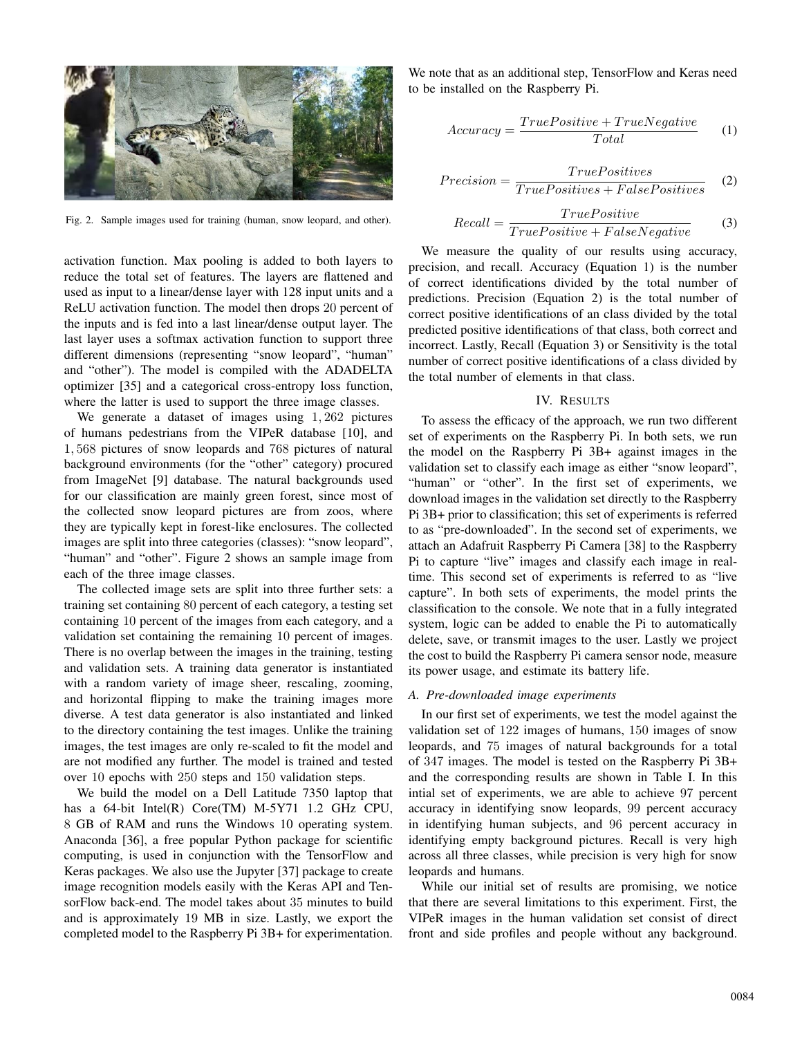

Fig. 2. Sample images used for training (human, snow leopard, and other).

activation function. Max pooling is added to both layers to reduce the total set of features. The layers are flattened and used as input to a linear/dense layer with 128 input units and a ReLU activation function. The model then drops 20 percent of the inputs and is fed into a last linear/dense output layer. The last layer uses a softmax activation function to support three different dimensions (representing "snow leopard", "human" and "other"). The model is compiled with the ADADELTA optimizer [35] and a categorical cross-entropy loss function, where the latter is used to support the three image classes.

We generate a dataset of images using <sup>1</sup>, <sup>262</sup> pictures of humans pedestrians from the VIPeR database [10], and <sup>1</sup>, <sup>568</sup> pictures of snow leopards and <sup>768</sup> pictures of natural background environments (for the "other" category) procured from ImageNet [9] database. The natural backgrounds used for our classification are mainly green forest, since most of the collected snow leopard pictures are from zoos, where they are typically kept in forest-like enclosures. The collected images are split into three categories (classes): "snow leopard", "human" and "other". Figure 2 shows an sample image from each of the three image classes.

The collected image sets are split into three further sets: a training set containing 80 percent of each category, a testing set containing 10 percent of the images from each category, and a validation set containing the remaining 10 percent of images. There is no overlap between the images in the training, testing and validation sets. A training data generator is instantiated with a random variety of image sheer, rescaling, zooming, and horizontal flipping to make the training images more diverse. A test data generator is also instantiated and linked to the directory containing the test images. Unlike the training images, the test images are only re-scaled to fit the model and are not modified any further. The model is trained and tested over 10 epochs with 250 steps and 150 validation steps.

We build the model on a Dell Latitude 7350 laptop that has a 64-bit Intel(R) Core(TM) M-5Y71 1.2 GHz CPU, 8 GB of RAM and runs the Windows 10 operating system. Anaconda [36], a free popular Python package for scientific computing, is used in conjunction with the TensorFlow and Keras packages. We also use the Jupyter [37] package to create image recognition models easily with the Keras API and TensorFlow back-end. The model takes about 35 minutes to build and is approximately 19 MB in size. Lastly, we export the completed model to the Raspberry Pi 3B+ for experimentation.

We note that as an additional step, TensorFlow and Keras need to be installed on the Raspberry Pi.

$$
Accuracy = \frac{TruePositive + TrueNegative}{Total} \tag{1}
$$

$$
Precision = \frac{TruePositives}{TruePositives + FalsePositives}
$$
 (2)

$$
Recall = \frac{TruePositive}{TruePositive + FalseNegative}
$$
(3)  
We measure the quality of our results using accuracy,

precision, and recall. Accuracy (Equation 1) is the number of correct identifications divided by the total number of predictions. Precision (Equation 2) is the total number of correct positive identifications of an class divided by the total predicted positive identifications of that class, both correct and incorrect. Lastly, Recall (Equation 3) or Sensitivity is the total number of correct positive identifications of a class divided by the total number of elements in that class.

#### IV. RESULTS

To assess the efficacy of the approach, we run two different set of experiments on the Raspberry Pi. In both sets, we run the model on the Raspberry Pi 3B+ against images in the validation set to classify each image as either "snow leopard", "human" or "other". In the first set of experiments, we download images in the validation set directly to the Raspberry Pi 3B+ prior to classification; this set of experiments is referred to as "pre-downloaded". In the second set of experiments, we attach an Adafruit Raspberry Pi Camera [38] to the Raspberry Pi to capture "live" images and classify each image in realtime. This second set of experiments is referred to as "live capture". In both sets of experiments, the model prints the classification to the console. We note that in a fully integrated system, logic can be added to enable the Pi to automatically delete, save, or transmit images to the user. Lastly we project the cost to build the Raspberry Pi camera sensor node, measure its power usage, and estimate its battery life.

#### *A. Pre-downloaded image experiments*

In our first set of experiments, we test the model against the validation set of 122 images of humans, 150 images of snow leopards, and 75 images of natural backgrounds for a total of 347 images. The model is tested on the Raspberry Pi 3B+ and the corresponding results are shown in Table I. In this intial set of experiments, we are able to achieve 97 percent accuracy in identifying snow leopards, 99 percent accuracy in identifying human subjects, and 96 percent accuracy in identifying empty background pictures. Recall is very high across all three classes, while precision is very high for snow leopards and humans.

While our initial set of results are promising, we notice that there are several limitations to this experiment. First, the VIPeR images in the human validation set consist of direct front and side profiles and people without any background.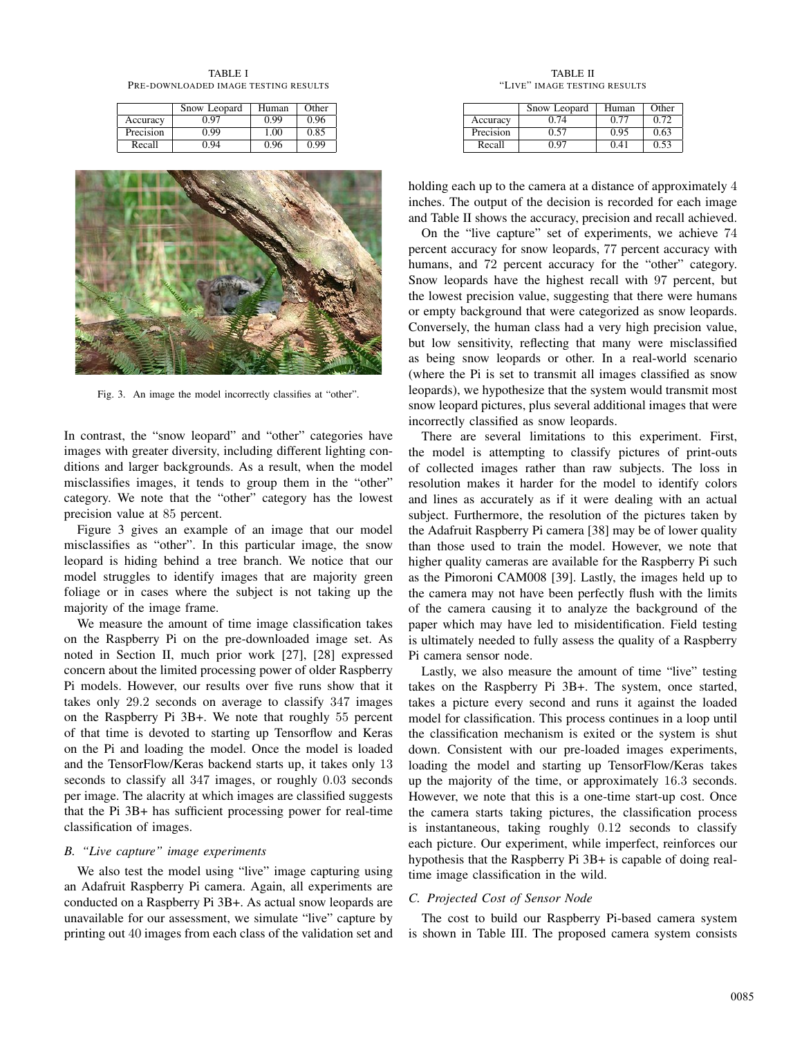TABLE I PRE-DOWNLOADED IMAGE TESTING RESULTS

|           | Snow Leopard | Human | Other |
|-----------|--------------|-------|-------|
| Accuracy  | 0.97         | 0.99  | 0.96  |
| Precision | 0.99         | 1.00  | 0.85  |
| Recall    | 0.94         | 0.96  | 0.99  |



Fig. 3. An image the model incorrectly classifies at "other".

In contrast, the "snow leopard" and "other" categories have images with greater diversity, including different lighting conditions and larger backgrounds. As a result, when the model misclassifies images, it tends to group them in the "other" category. We note that the "other" category has the lowest precision value at 85 percent.

Figure 3 gives an example of an image that our model misclassifies as "other". In this particular image, the snow leopard is hiding behind a tree branch. We notice that our model struggles to identify images that are majority green foliage or in cases where the subject is not taking up the majority of the image frame.

We measure the amount of time image classification takes on the Raspberry Pi on the pre-downloaded image set. As noted in Section II, much prior work [27], [28] expressed concern about the limited processing power of older Raspberry Pi models. However, our results over five runs show that it takes only <sup>29</sup>.<sup>2</sup> seconds on average to classify <sup>347</sup> images on the Raspberry Pi 3B+. We note that roughly 55 percent of that time is devoted to starting up Tensorflow and Keras on the Pi and loading the model. Once the model is loaded and the TensorFlow/Keras backend starts up, it takes only 13 seconds to classify all <sup>347</sup> images, or roughly <sup>0</sup>.<sup>03</sup> seconds per image. The alacrity at which images are classified suggests that the Pi 3B+ has sufficient processing power for real-time classification of images.

# *B. "Live capture" image experiments*

We also test the model using "live" image capturing using an Adafruit Raspberry Pi camera. Again, all experiments are conducted on a Raspberry Pi 3B+. As actual snow leopards are unavailable for our assessment, we simulate "live" capture by printing out 40 images from each class of the validation set and

TABLE II "LIVE" IMAGE TESTING RESULTS

|           | Snow Leopard | Human | Other |
|-----------|--------------|-------|-------|
| Accuracy  | 0.74         | 0.77  | 0.72  |
| Precision | 0.57         | 0.95  | 0.63  |
| Recall    | ־ט ו         | 0.41  | 0.53  |

holding each up to the camera at a distance of approximately 4 inches. The output of the decision is recorded for each image and Table II shows the accuracy, precision and recall achieved.

On the "live capture" set of experiments, we achieve 74 percent accuracy for snow leopards, 77 percent accuracy with humans, and 72 percent accuracy for the "other" category. Snow leopards have the highest recall with 97 percent, but the lowest precision value, suggesting that there were humans or empty background that were categorized as snow leopards. Conversely, the human class had a very high precision value, but low sensitivity, reflecting that many were misclassified as being snow leopards or other. In a real-world scenario (where the Pi is set to transmit all images classified as snow leopards), we hypothesize that the system would transmit most snow leopard pictures, plus several additional images that were incorrectly classified as snow leopards.

There are several limitations to this experiment. First, the model is attempting to classify pictures of print-outs of collected images rather than raw subjects. The loss in resolution makes it harder for the model to identify colors and lines as accurately as if it were dealing with an actual subject. Furthermore, the resolution of the pictures taken by the Adafruit Raspberry Pi camera [38] may be of lower quality than those used to train the model. However, we note that higher quality cameras are available for the Raspberry Pi such as the Pimoroni CAM008 [39]. Lastly, the images held up to the camera may not have been perfectly flush with the limits of the camera causing it to analyze the background of the paper which may have led to misidentification. Field testing is ultimately needed to fully assess the quality of a Raspberry Pi camera sensor node.

Lastly, we also measure the amount of time "live" testing takes on the Raspberry Pi 3B+. The system, once started, takes a picture every second and runs it against the loaded model for classification. This process continues in a loop until the classification mechanism is exited or the system is shut down. Consistent with our pre-loaded images experiments, loading the model and starting up TensorFlow/Keras takes up the majority of the time, or approximately <sup>16</sup>.<sup>3</sup> seconds. However, we note that this is a one-time start-up cost. Once the camera starts taking pictures, the classification process is instantaneous, taking roughly <sup>0</sup>.<sup>12</sup> seconds to classify each picture. Our experiment, while imperfect, reinforces our hypothesis that the Raspberry Pi 3B+ is capable of doing realtime image classification in the wild.

# *C. Projected Cost of Sensor Node*

The cost to build our Raspberry Pi-based camera system is shown in Table III. The proposed camera system consists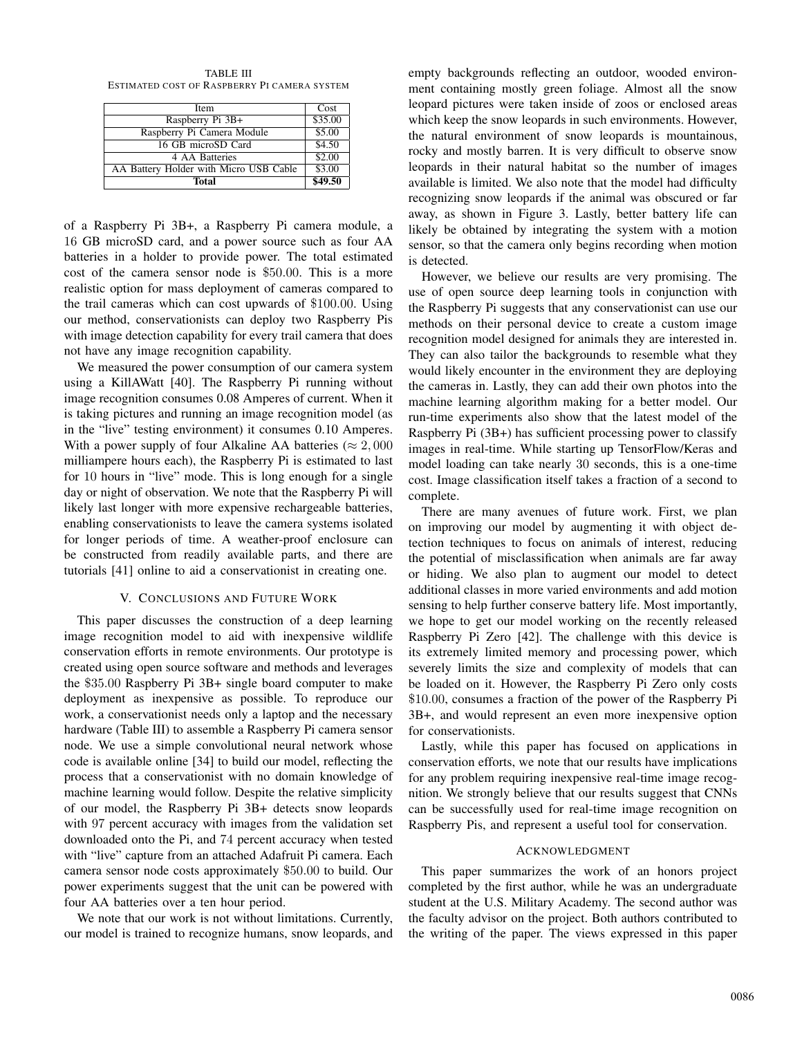TABLE III ESTIMATED COST OF RASPBERRY PI CAMERA SYSTEM

| <b>Item</b>                            | Cost    |
|----------------------------------------|---------|
| Raspberry Pi 3B+                       | \$35.00 |
| Raspberry Pi Camera Module             | \$5.00  |
| 16 GB microSD Card                     | \$4.50  |
| 4 AA Batteries                         | \$2.00  |
| AA Battery Holder with Micro USB Cable | \$3.00  |
| Total                                  | \$49.50 |

of a Raspberry Pi 3B+, a Raspberry Pi camera module, a 16 GB microSD card, and a power source such as four AA batteries in a holder to provide power. The total estimated cost of the camera sensor node is \$50.00. This is a more realistic option for mass deployment of cameras compared to the trail cameras which can cost upwards of \$100.00. Using our method, conservationists can deploy two Raspberry Pis with image detection capability for every trail camera that does not have any image recognition capability.

We measured the power consumption of our camera system using a KillAWatt [40]. The Raspberry Pi running without image recognition consumes 0.08 Amperes of current. When it is taking pictures and running an image recognition model (as in the "live" testing environment) it consumes 0.10 Amperes. With a power supply of four Alkaline AA batteries ( $\approx 2,000$ ) milliampere hours each), the Raspberry Pi is estimated to last for 10 hours in "live" mode. This is long enough for a single day or night of observation. We note that the Raspberry Pi will likely last longer with more expensive rechargeable batteries, enabling conservationists to leave the camera systems isolated for longer periods of time. A weather-proof enclosure can be constructed from readily available parts, and there are tutorials [41] online to aid a conservationist in creating one.

### V. CONCLUSIONS AND FUTURE WORK

This paper discusses the construction of a deep learning image recognition model to aid with inexpensive wildlife conservation efforts in remote environments. Our prototype is created using open source software and methods and leverages the \$35.<sup>00</sup> Raspberry Pi 3B+ single board computer to make deployment as inexpensive as possible. To reproduce our work, a conservationist needs only a laptop and the necessary hardware (Table III) to assemble a Raspberry Pi camera sensor node. We use a simple convolutional neural network whose code is available online [34] to build our model, reflecting the process that a conservationist with no domain knowledge of machine learning would follow. Despite the relative simplicity of our model, the Raspberry Pi 3B+ detects snow leopards with 97 percent accuracy with images from the validation set downloaded onto the Pi, and 74 percent accuracy when tested with "live" capture from an attached Adafruit Pi camera. Each camera sensor node costs approximately \$50.<sup>00</sup> to build. Our power experiments suggest that the unit can be powered with four AA batteries over a ten hour period.

We note that our work is not without limitations. Currently, our model is trained to recognize humans, snow leopards, and empty backgrounds reflecting an outdoor, wooded environment containing mostly green foliage. Almost all the snow leopard pictures were taken inside of zoos or enclosed areas which keep the snow leopards in such environments. However, the natural environment of snow leopards is mountainous, rocky and mostly barren. It is very difficult to observe snow leopards in their natural habitat so the number of images available is limited. We also note that the model had difficulty recognizing snow leopards if the animal was obscured or far away, as shown in Figure 3. Lastly, better battery life can likely be obtained by integrating the system with a motion sensor, so that the camera only begins recording when motion is detected.

However, we believe our results are very promising. The use of open source deep learning tools in conjunction with the Raspberry Pi suggests that any conservationist can use our methods on their personal device to create a custom image recognition model designed for animals they are interested in. They can also tailor the backgrounds to resemble what they would likely encounter in the environment they are deploying the cameras in. Lastly, they can add their own photos into the machine learning algorithm making for a better model. Our run-time experiments also show that the latest model of the Raspberry Pi (3B+) has sufficient processing power to classify images in real-time. While starting up TensorFlow/Keras and model loading can take nearly 30 seconds, this is a one-time cost. Image classification itself takes a fraction of a second to complete.

There are many avenues of future work. First, we plan on improving our model by augmenting it with object detection techniques to focus on animals of interest, reducing the potential of misclassification when animals are far away or hiding. We also plan to augment our model to detect additional classes in more varied environments and add motion sensing to help further conserve battery life. Most importantly, we hope to get our model working on the recently released Raspberry Pi Zero [42]. The challenge with this device is its extremely limited memory and processing power, which severely limits the size and complexity of models that can be loaded on it. However, the Raspberry Pi Zero only costs \$10.00, consumes a fraction of the power of the Raspberry Pi 3B+, and would represent an even more inexpensive option for conservationists.

Lastly, while this paper has focused on applications in conservation efforts, we note that our results have implications for any problem requiring inexpensive real-time image recognition. We strongly believe that our results suggest that CNNs can be successfully used for real-time image recognition on Raspberry Pis, and represent a useful tool for conservation.

# ACKNOWLEDGMENT

This paper summarizes the work of an honors project completed by the first author, while he was an undergraduate student at the U.S. Military Academy. The second author was the faculty advisor on the project. Both authors contributed to the writing of the paper. The views expressed in this paper